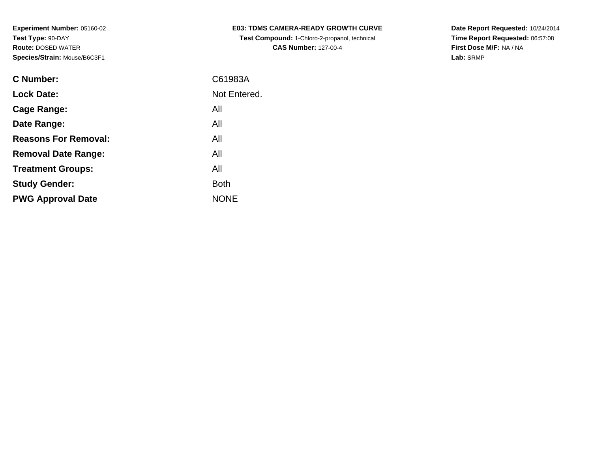| C Number:                   | C61983A      |
|-----------------------------|--------------|
| <b>Lock Date:</b>           | Not Entered. |
| Cage Range:                 | All          |
| Date Range:                 | All          |
| <b>Reasons For Removal:</b> | All          |
| <b>Removal Date Range:</b>  | All          |
| <b>Treatment Groups:</b>    | All          |
| <b>Study Gender:</b>        | <b>Both</b>  |
| <b>PWG Approval Date</b>    | <b>NONF</b>  |
|                             |              |

**E03: TDMS CAMERA-READY GROWTH CURVETest Compound:** 1-Chloro-2-propanol, technical **CAS Number:** 127-00-4

**Date Report Requested:** 10/24/2014 **Time Report Requested:** 06:57:08**First Dose M/F:** NA / NA**Lab:** SRMP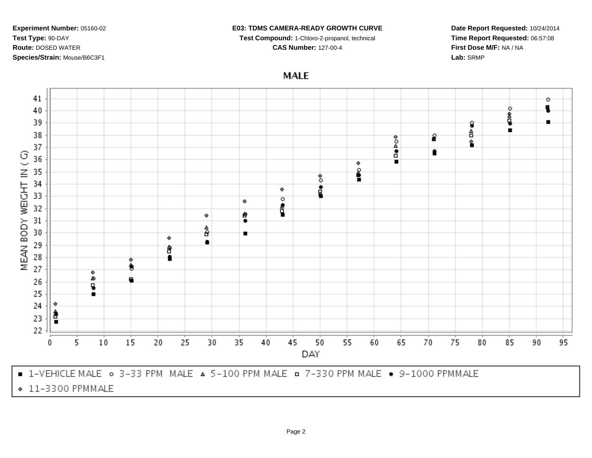# **E03: TDMS CAMERA-READY GROWTH CURVE**

**Test Compound:** 1-Chloro-2-propanol, technical

**CAS Number:** 127-00-4

**Date Report Requested:** 10/24/2014**Time Report Requested:** 06:57:08**First Dose M/F:** NA / NA**Lab:** SRMP

**MALE** 

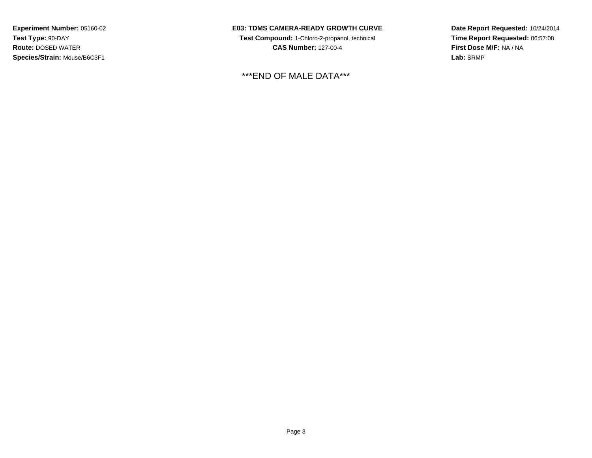## **E03: TDMS CAMERA-READY GROWTH CURVE**

**Test Compound:** 1-Chloro-2-propanol, technical **CAS Number:** 127-00-4

\*\*\*END OF MALE DATA\*\*\*

**Date Report Requested:** 10/24/2014**Time Report Requested:** 06:57:08**First Dose M/F:** NA / NA**Lab:** SRMP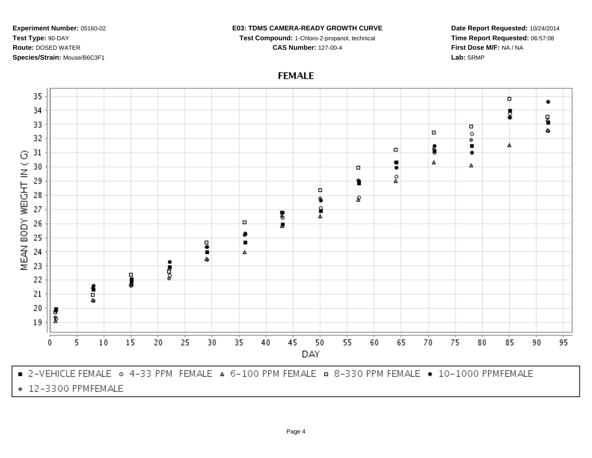#### **E03: TDMS CAMERA-READY GROWTH CURVE**

**Test Compound:** 1-Chloro-2-propanol, technical **CAS Number:** 127-00-4

**Date Report Requested:** 10/24/2014**Time Report Requested:** 06:57:08**First Dose M/F:** NA / NA**Lab:** SRMP

# **FEMALE**